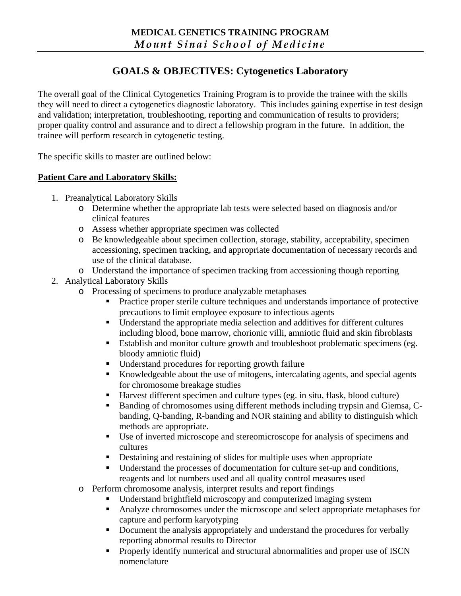# **GOALS & OBJECTIVES: Cytogenetics Laboratory**

The overall goal of the Clinical Cytogenetics Training Program is to provide the trainee with the skills they will need to direct a cytogenetics diagnostic laboratory. This includes gaining expertise in test design and validation; interpretation, troubleshooting, reporting and communication of results to providers; proper quality control and assurance and to direct a fellowship program in the future. In addition, the trainee will perform research in cytogenetic testing.

The specific skills to master are outlined below:

### **Patient Care and Laboratory Skills:**

- 1. Preanalytical Laboratory Skills
	- o Determine whether the appropriate lab tests were selected based on diagnosis and/or clinical features
	- o Assess whether appropriate specimen was collected
	- o Be knowledgeable about specimen collection, storage, stability, acceptability, specimen accessioning, specimen tracking, and appropriate documentation of necessary records and use of the clinical database.
	- o Understand the importance of specimen tracking from accessioning though reporting
- 2. Analytical Laboratory Skills
	- o Processing of specimens to produce analyzable metaphases
		- **Practice proper sterile culture techniques and understands importance of protective** precautions to limit employee exposure to infectious agents
		- Understand the appropriate media selection and additives for different cultures including blood, bone marrow, chorionic villi, amniotic fluid and skin fibroblasts
		- **Establish and monitor culture growth and troubleshoot problematic specimens (eg.** bloody amniotic fluid)
		- Understand procedures for reporting growth failure
		- Knowledgeable about the use of mitogens, intercalating agents, and special agents for chromosome breakage studies
		- Harvest different specimen and culture types (eg. in situ, flask, blood culture)
		- Banding of chromosomes using different methods including trypsin and Giemsa, Cbanding, Q-banding, R-banding and NOR staining and ability to distinguish which methods are appropriate.
		- Use of inverted microscope and stereomicroscope for analysis of specimens and cultures
		- Destaining and restaining of slides for multiple uses when appropriate
		- Understand the processes of documentation for culture set-up and conditions, reagents and lot numbers used and all quality control measures used
	- o Perform chromosome analysis, interpret results and report findings
		- Understand brightfield microscopy and computerized imaging system
		- Analyze chromosomes under the microscope and select appropriate metaphases for capture and perform karyotyping
		- Document the analysis appropriately and understand the procedures for verbally reporting abnormal results to Director
		- **Properly identify numerical and structural abnormalities and proper use of ISCN** nomenclature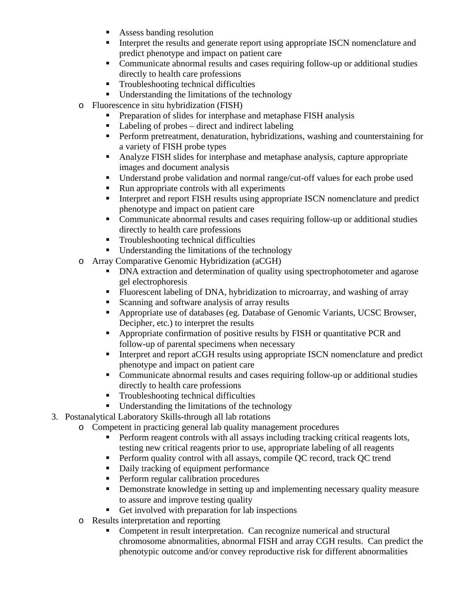- **Assess banding resolution**
- Interpret the results and generate report using appropriate ISCN nomenclature and predict phenotype and impact on patient care
- Communicate abnormal results and cases requiring follow-up or additional studies directly to health care professions
- **Troubleshooting technical difficulties**
- **Understanding the limitations of the technology**
- o Fluorescence in situ hybridization (FISH)
	- **Preparation of slides for interphase and metaphase FISH analysis**
	- Labeling of probes direct and indirect labeling
	- **Perform pretreatment, denaturation, hybridizations, washing and counterstaining for** a variety of FISH probe types
	- Analyze FISH slides for interphase and metaphase analysis, capture appropriate images and document analysis
	- Understand probe validation and normal range/cut-off values for each probe used
	- Run appropriate controls with all experiments
	- Interpret and report FISH results using appropriate ISCN nomenclature and predict phenotype and impact on patient care
	- Communicate abnormal results and cases requiring follow-up or additional studies directly to health care professions
	- **Troubleshooting technical difficulties**
	- **Understanding the limitations of the technology**
- o Array Comparative Genomic Hybridization (aCGH)
	- DNA extraction and determination of quality using spectrophotometer and agarose gel electrophoresis
	- Fluorescent labeling of DNA, hybridization to microarray, and washing of array
	- Scanning and software analysis of array results
	- Appropriate use of databases (eg. Database of Genomic Variants, UCSC Browser, Decipher, etc.) to interpret the results
	- **•** Appropriate confirmation of positive results by FISH or quantitative PCR and follow-up of parental specimens when necessary
	- Interpret and report aCGH results using appropriate ISCN nomenclature and predict phenotype and impact on patient care
	- Communicate abnormal results and cases requiring follow-up or additional studies directly to health care professions
	- Troubleshooting technical difficulties
	- Understanding the limitations of the technology
- 3. Postanalytical Laboratory Skills-through all lab rotations
	- o Competent in practicing general lab quality management procedures
		- **Perform reagent controls with all assays including tracking critical reagents lots,** testing new critical reagents prior to use, appropriate labeling of all reagents
		- Perform quality control with all assays, compile QC record, track QC trend
		- Daily tracking of equipment performance
		- **Perform regular calibration procedures**
		- **•** Demonstrate knowledge in setting up and implementing necessary quality measure to assure and improve testing quality
		- Get involved with preparation for lab inspections
	- o Results interpretation and reporting
		- Competent in result interpretation. Can recognize numerical and structural chromosome abnormalities, abnormal FISH and array CGH results. Can predict the phenotypic outcome and/or convey reproductive risk for different abnormalities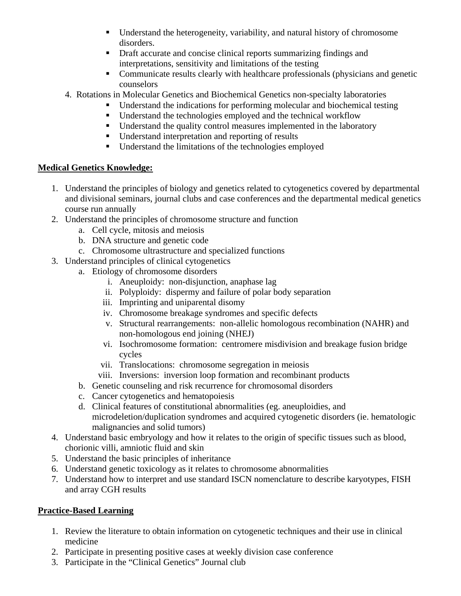- Understand the heterogeneity, variability, and natural history of chromosome disorders.
- Draft accurate and concise clinical reports summarizing findings and interpretations, sensitivity and limitations of the testing
- Communicate results clearly with healthcare professionals (physicians and genetic counselors
- 4. Rotations in Molecular Genetics and Biochemical Genetics non-specialty laboratories
	- Understand the indications for performing molecular and biochemical testing
	- Understand the technologies employed and the technical workflow
	- **Understand the quality control measures implemented in the laboratory**
	- Understand interpretation and reporting of results
	- Understand the limitations of the technologies employed

# **Medical Genetics Knowledge:**

- 1. Understand the principles of biology and genetics related to cytogenetics covered by departmental and divisional seminars, journal clubs and case conferences and the departmental medical genetics course run annually
- 2. Understand the principles of chromosome structure and function
	- a. Cell cycle, mitosis and meiosis
	- b. DNA structure and genetic code
	- c. Chromosome ultrastructure and specialized functions
- 3. Understand principles of clinical cytogenetics
	- a. Etiology of chromosome disorders
		- i. Aneuploidy: non-disjunction, anaphase lag
		- ii. Polyploidy: dispermy and failure of polar body separation
		- iii. Imprinting and uniparental disomy
		- iv. Chromosome breakage syndromes and specific defects
		- v. Structural rearrangements: non-allelic homologous recombination (NAHR) and non-homologous end joining (NHEJ)
		- vi. Isochromosome formation: centromere misdivision and breakage fusion bridge cycles
		- vii. Translocations: chromosome segregation in meiosis
		- viii. Inversions: inversion loop formation and recombinant products
	- b. Genetic counseling and risk recurrence for chromosomal disorders
	- c. Cancer cytogenetics and hematopoiesis
	- d. Clinical features of constitutional abnormalities (eg. aneuploidies, and microdeletion/duplication syndromes and acquired cytogenetic disorders (ie. hematologic malignancies and solid tumors)
- 4. Understand basic embryology and how it relates to the origin of specific tissues such as blood, chorionic villi, amniotic fluid and skin
- 5. Understand the basic principles of inheritance
- 6. Understand genetic toxicology as it relates to chromosome abnormalities
- 7. Understand how to interpret and use standard ISCN nomenclature to describe karyotypes, FISH and array CGH results

# **Practice-Based Learning**

- 1. Review the literature to obtain information on cytogenetic techniques and their use in clinical medicine
- 2. Participate in presenting positive cases at weekly division case conference
- 3. Participate in the "Clinical Genetics" Journal club